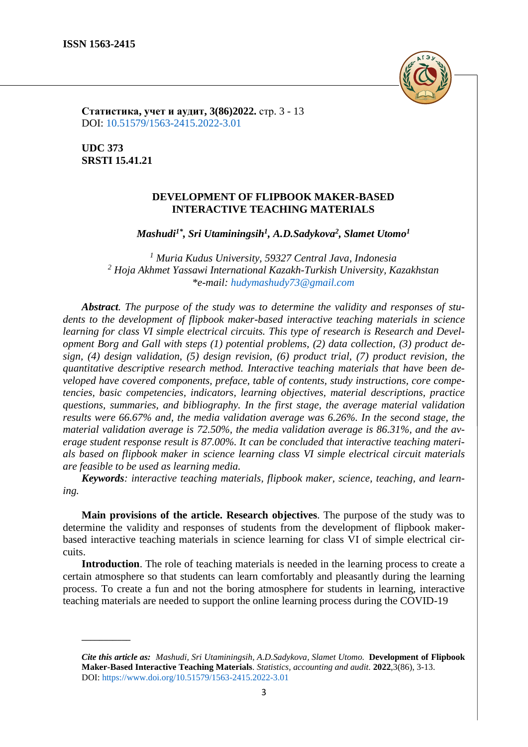

**Статистика, учет и аудит, 3(86)2022.** стр. 3 - 13 DOI: [10.51579/1563-2415.2022-3.01](https://www.doi.org/10.51579/1563-2415.2022-3.01)

**UDC 373 SRSTI 15.41.21**

**\_\_\_\_\_\_\_\_\_\_\_**

## **DEVELOPMENT OF FLIPBOOK MAKER-BASED INTERACTIVE TEACHING MATERIALS**

*Mashudi1\*, Sri Utaminingsih<sup>1</sup> , A.D.Sadykova<sup>2</sup> , Slamet Utomo<sup>1</sup>*

*<sup>1</sup> Muria Kudus University, 59327 Central Java, Indonesia <sup>2</sup> Hoja Akhmet Yassawi International Kazakh-Turkish University, Kazakhstan \*e-mail: [hudymashudy73@gmail.com](mailto:hudymashudy73@gmail.com)*

*Abstract. The purpose of the study was to determine the validity and responses of students to the development of flipbook maker-based interactive teaching materials in science learning for class VI simple electrical circuits. This type of research is Research and Development Borg and Gall with steps (1) potential problems, (2) data collection, (3) product design, (4) design validation, (5) design revision, (6) product trial, (7) product revision, the quantitative descriptive research method. Interactive teaching materials that have been developed have covered components, preface, table of contents, study instructions, core competencies, basic competencies, indicators, learning objectives, material descriptions, practice questions, summaries, and bibliography. In the first stage, the average material validation results were 66.67% and, the media validation average was 6.26%. In the second stage, the material validation average is 72.50%, the media validation average is 86.31%, and the average student response result is 87.00%. It can be concluded that interactive teaching materials based on flipbook maker in science learning class VI simple electrical circuit materials are feasible to be used as learning media.*

*Keywords: interactive teaching materials, flipbook maker, science, teaching, and learning.*

**Main provisions of the article. Research objectives**. The purpose of the study was to determine the validity and responses of students from the development of flipbook makerbased interactive teaching materials in science learning for class VI of simple electrical circuits.

**Introduction**. The role of teaching materials is needed in the learning process to create a certain atmosphere so that students can learn comfortably and pleasantly during the learning process. To create a fun and not the boring atmosphere for students in learning, interactive teaching materials are needed to support the online learning process during the COVID-19

*Cite this article as: Mashudi, Sri Utaminingsih, A.D.Sadykova, Slamet Utomo.* **Development of Flipbook Maker-Based Interactive Teaching Materials**. *Statistics, accounting and audit.* **2022**,3(86), 3-13. DOI:<https://www.doi.org/10.51579/1563-2415.2022-3.01>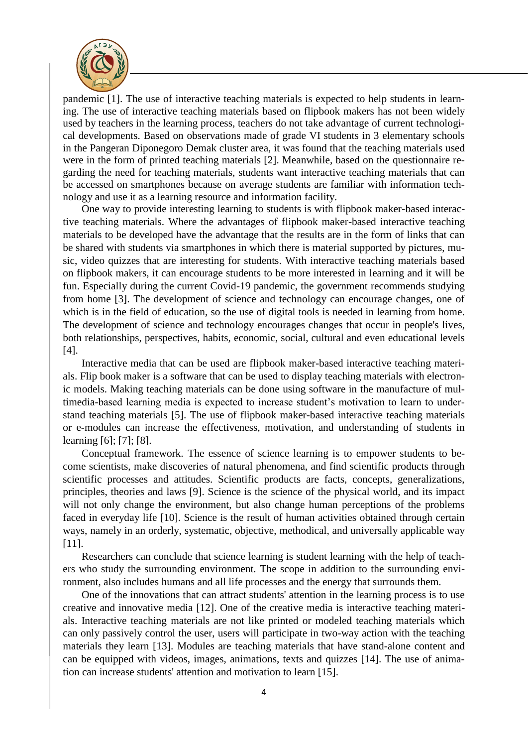

pandemic [1]. The use of interactive teaching materials is expected to help students in learning. The use of interactive teaching materials based on flipbook makers has not been widely used by teachers in the learning process, teachers do not take advantage of current technological developments. Based on observations made of grade VI students in 3 elementary schools in the Pangeran Diponegoro Demak cluster area, it was found that the teaching materials used were in the form of printed teaching materials [2]. Meanwhile, based on the questionnaire regarding the need for teaching materials, students want interactive teaching materials that can be accessed on smartphones because on average students are familiar with information technology and use it as a learning resource and information facility.

One way to provide interesting learning to students is with flipbook maker-based interactive teaching materials. Where the advantages of flipbook maker-based interactive teaching materials to be developed have the advantage that the results are in the form of links that can be shared with students via smartphones in which there is material supported by pictures, music, video quizzes that are interesting for students. With interactive teaching materials based on flipbook makers, it can encourage students to be more interested in learning and it will be fun. Especially during the current Covid-19 pandemic, the government recommends studying from home [3]. The development of science and technology can encourage changes, one of which is in the field of education, so the use of digital tools is needed in learning from home. The development of science and technology encourages changes that occur in people's lives, both relationships, perspectives, habits, economic, social, cultural and even educational levels [4].

Interactive media that can be used are flipbook maker-based interactive teaching materials. Flip book maker is a software that can be used to display teaching materials with electronic models. Making teaching materials can be done using software in the manufacture of multimedia-based learning media is expected to increase student's motivation to learn to understand teaching materials [5]. The use of flipbook maker-based interactive teaching materials or e-modules can increase the effectiveness, motivation, and understanding of students in learning [6]; [7]; [8].

Conceptual framework. The essence of science learning is to empower students to become scientists, make discoveries of natural phenomena, and find scientific products through scientific processes and attitudes. Scientific products are facts, concepts, generalizations, principles, theories and laws [9]. Science is the science of the physical world, and its impact will not only change the environment, but also change human perceptions of the problems faced in everyday life [10]. Science is the result of human activities obtained through certain ways, namely in an orderly, systematic, objective, methodical, and universally applicable way [11].

Researchers can conclude that science learning is student learning with the help of teachers who study the surrounding environment. The scope in addition to the surrounding environment, also includes humans and all life processes and the energy that surrounds them.

One of the innovations that can attract students' attention in the learning process is to use creative and innovative media [12]. One of the creative media is interactive teaching materials. Interactive teaching materials are not like printed or modeled teaching materials which can only passively control the user, users will participate in two-way action with the teaching materials they learn [13]. Modules are teaching materials that have stand-alone content and can be equipped with videos, images, animations, texts and quizzes [14]. The use of animation can increase students' attention and motivation to learn [15].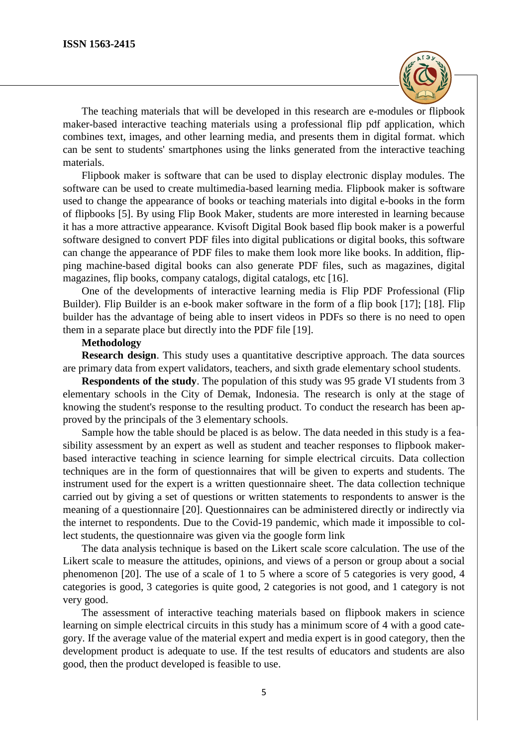

The teaching materials that will be developed in this research are e-modules or flipbook maker-based interactive teaching materials using a professional flip pdf application, which combines text, images, and other learning media, and presents them in digital format. which can be sent to students' smartphones using the links generated from the interactive teaching materials.

Flipbook maker is software that can be used to display electronic display modules. The software can be used to create multimedia-based learning media. Flipbook maker is software used to change the appearance of books or teaching materials into digital e-books in the form of flipbooks [5]. By using Flip Book Maker, students are more interested in learning because it has a more attractive appearance. Kvisoft Digital Book based flip book maker is a powerful software designed to convert PDF files into digital publications or digital books, this software can change the appearance of PDF files to make them look more like books. In addition, flipping machine-based digital books can also generate PDF files, such as magazines, digital magazines, flip books, company catalogs, digital catalogs, etc [16].

One of the developments of interactive learning media is Flip PDF Professional (Flip Builder). Flip Builder is an e-book maker software in the form of a flip book [17]; [18]. Flip builder has the advantage of being able to insert videos in PDFs so there is no need to open them in a separate place but directly into the PDF file [19].

## **Methodology**

**Research design.** This study uses a quantitative descriptive approach. The data sources are primary data from expert validators, teachers, and sixth grade elementary school students.

**Respondents of the study**. The population of this study was 95 grade VI students from 3 elementary schools in the City of Demak, Indonesia. The research is only at the stage of knowing the student's response to the resulting product. To conduct the research has been approved by the principals of the 3 elementary schools.

Sample how the table should be placed is as below. The data needed in this study is a feasibility assessment by an expert as well as student and teacher responses to flipbook makerbased interactive teaching in science learning for simple electrical circuits. Data collection techniques are in the form of questionnaires that will be given to experts and students. The instrument used for the expert is a written questionnaire sheet. The data collection technique carried out by giving a set of questions or written statements to respondents to answer is the meaning of a questionnaire [20]. Questionnaires can be administered directly or indirectly via the internet to respondents. Due to the Covid-19 pandemic, which made it impossible to collect students, the questionnaire was given via the google form link

The data analysis technique is based on the Likert scale score calculation. The use of the Likert scale to measure the attitudes, opinions, and views of a person or group about a social phenomenon [20]. The use of a scale of 1 to 5 where a score of 5 categories is very good, 4 categories is good, 3 categories is quite good, 2 categories is not good, and 1 category is not very good.

The assessment of interactive teaching materials based on flipbook makers in science learning on simple electrical circuits in this study has a minimum score of 4 with a good category. If the average value of the material expert and media expert is in good category, then the development product is adequate to use. If the test results of educators and students are also good, then the product developed is feasible to use.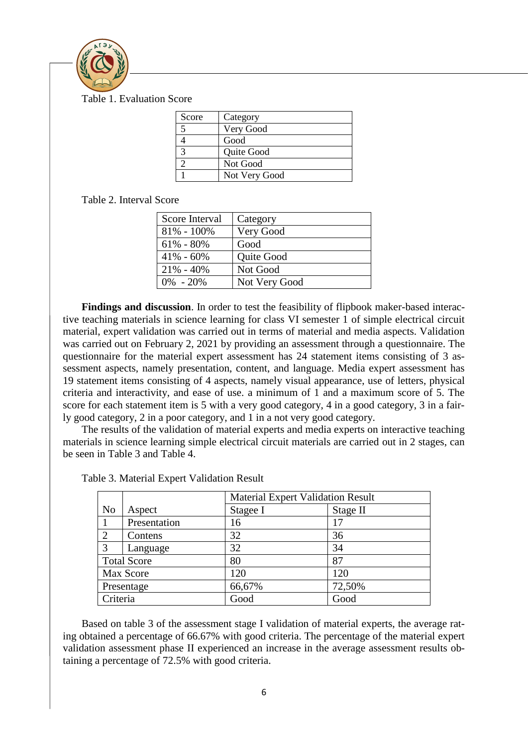

Table 1. Evaluation Score

| Score | Category      |
|-------|---------------|
|       | Very Good     |
|       | Good          |
|       | Quite Good    |
|       | Not Good      |
|       | Not Very Good |

Table 2. Interval Score

| Score Interval | Category      |
|----------------|---------------|
| $81\% - 100\%$ | Very Good     |
| $61\% - 80\%$  | Good          |
| $41\% - 60\%$  | Quite Good    |
| $21\% - 40\%$  | Not Good      |
| $0\% - 20\%$   | Not Very Good |

**Findings and discussion**. In order to test the feasibility of flipbook maker-based interactive teaching materials in science learning for class VI semester 1 of simple electrical circuit material, expert validation was carried out in terms of material and media aspects. Validation was carried out on February 2, 2021 by providing an assessment through a questionnaire. The questionnaire for the material expert assessment has 24 statement items consisting of 3 assessment aspects, namely presentation, content, and language. Media expert assessment has 19 statement items consisting of 4 aspects, namely visual appearance, use of letters, physical criteria and interactivity, and ease of use. a minimum of 1 and a maximum score of 5. The score for each statement item is 5 with a very good category, 4 in a good category, 3 in a fairly good category, 2 in a poor category, and 1 in a not very good category.

The results of the validation of material experts and media experts on interactive teaching materials in science learning simple electrical circuit materials are carried out in 2 stages, can be seen in Table 3 and Table 4.

|                    |              |          | <b>Material Expert Validation Result</b> |  |  |
|--------------------|--------------|----------|------------------------------------------|--|--|
| N <sub>o</sub>     | Aspect       | Stagee I | Stage II                                 |  |  |
|                    | Presentation | 16       | 17                                       |  |  |
| $\overline{2}$     | Contens      | 32       | 36                                       |  |  |
| 3                  | Language     | 32       | 34                                       |  |  |
| <b>Total Score</b> |              | 80       | 87                                       |  |  |
|                    | Max Score    | 120      | 120                                      |  |  |
| Presentage         |              | 66,67%   | 72,50%                                   |  |  |
| Criteria           |              | Good     | Good                                     |  |  |

Based on table 3 of the assessment stage I validation of material experts, the average rating obtained a percentage of 66.67% with good criteria. The percentage of the material expert validation assessment phase II experienced an increase in the average assessment results obtaining a percentage of 72.5% with good criteria.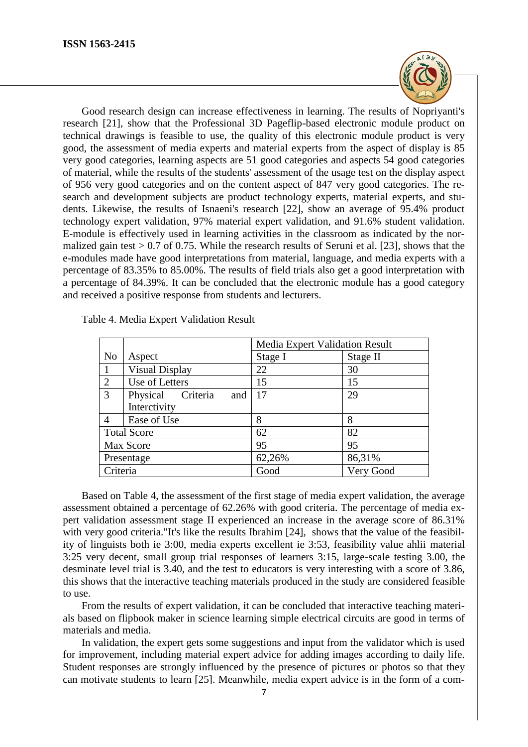

Good research design can increase effectiveness in learning. The results of Nopriyanti's research [21], show that the Professional 3D Pageflip-based electronic module product on technical drawings is feasible to use, the quality of this electronic module product is very good, the assessment of media experts and material experts from the aspect of display is 85 very good categories, learning aspects are 51 good categories and aspects 54 good categories of material, while the results of the students' assessment of the usage test on the display aspect of 956 very good categories and on the content aspect of 847 very good categories. The research and development subjects are product technology experts, material experts, and students. Likewise, the results of Isnaeni's research [22], show an average of 95.4% product technology expert validation, 97% material expert validation, and 91.6% student validation. E-module is effectively used in learning activities in the classroom as indicated by the normalized gain test  $> 0.7$  of 0.75. While the research results of Seruni et al. [23], shows that the e-modules made have good interpretations from material, language, and media experts with a percentage of 83.35% to 85.00%. The results of field trials also get a good interpretation with a percentage of 84.39%. It can be concluded that the electronic module has a good category and received a positive response from students and lecturers.

|                    |                             | Media Expert Validation Result |           |
|--------------------|-----------------------------|--------------------------------|-----------|
| N <sub>0</sub>     | Aspect                      | Stage I                        | Stage II  |
| -1                 | <b>Visual Display</b>       | 22                             | 30        |
| 2                  | Use of Letters              | 15                             | 15        |
| $\overline{3}$     | Physical<br>Criteria<br>and | 17                             | 29        |
|                    | Interctivity                |                                |           |
| $\overline{4}$     | Ease of Use                 | 8                              | 8         |
| <b>Total Score</b> |                             | 62                             | 82        |
| Max Score          |                             | 95                             | 95        |
| Presentage         |                             | 62,26%                         | 86,31%    |
| Criteria           |                             | Good                           | Very Good |

Table 4. Media Expert Validation Result

Based on Table 4, the assessment of the first stage of media expert validation, the average assessment obtained a percentage of 62.26% with good criteria. The percentage of media expert validation assessment stage II experienced an increase in the average score of 86.31% with very good criteria."It's like the results Ibrahim [24], shows that the value of the feasibility of linguists both ie 3:00, media experts excellent ie 3:53, feasibility value ahlii material 3:25 very decent, small group trial responses of learners 3:15, large-scale testing 3.00, the desminate level trial is 3.40, and the test to educators is very interesting with a score of 3.86, this shows that the interactive teaching materials produced in the study are considered feasible to use.

From the results of expert validation, it can be concluded that interactive teaching materials based on flipbook maker in science learning simple electrical circuits are good in terms of materials and media.

In validation, the expert gets some suggestions and input from the validator which is used for improvement, including material expert advice for adding images according to daily life. Student responses are strongly influenced by the presence of pictures or photos so that they can motivate students to learn [25]. Meanwhile, media expert advice is in the form of a com-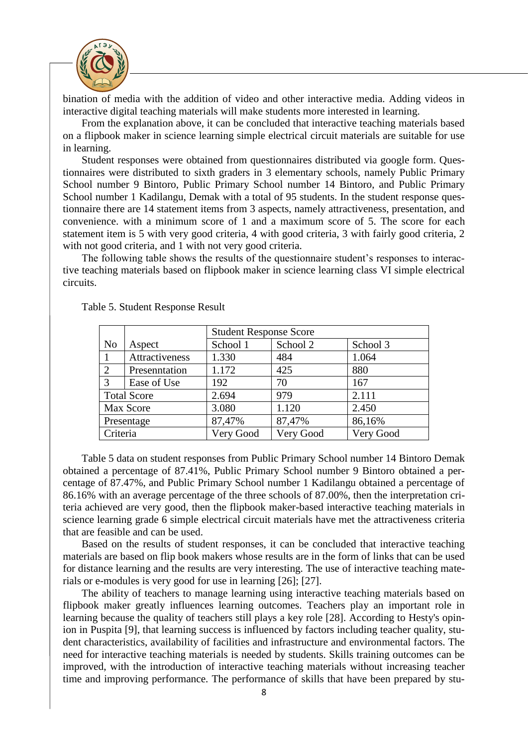

bination of media with the addition of video and other interactive media. Adding videos in interactive digital teaching materials will make students more interested in learning.

From the explanation above, it can be concluded that interactive teaching materials based on a flipbook maker in science learning simple electrical circuit materials are suitable for use in learning.

Student responses were obtained from questionnaires distributed via google form. Questionnaires were distributed to sixth graders in 3 elementary schools, namely Public Primary School number 9 Bintoro, Public Primary School number 14 Bintoro, and Public Primary School number 1 Kadilangu, Demak with a total of 95 students. In the student response questionnaire there are 14 statement items from 3 aspects, namely attractiveness, presentation, and convenience. with a minimum score of 1 and a maximum score of 5. The score for each statement item is 5 with very good criteria, 4 with good criteria, 3 with fairly good criteria, 2 with not good criteria, and 1 with not very good criteria.

The following table shows the results of the questionnaire student's responses to interactive teaching materials based on flipbook maker in science learning class VI simple electrical circuits.

|                       |                | <b>Student Response Score</b> |           |           |
|-----------------------|----------------|-------------------------------|-----------|-----------|
| N <sub>0</sub>        | Aspect         | School 1                      | School 2  | School 3  |
| 1                     | Attractiveness | 1.330                         | 484       | 1.064     |
| $\mathcal{D}_{\cdot}$ | Presenntation  | 1.172                         | 425       | 880       |
| 3                     | Ease of Use    | 192                           | 70        | 167       |
| <b>Total Score</b>    |                | 2.694                         | 979       | 2.111     |
| Max Score             |                | 3.080                         | 1.120     | 2.450     |
| Presentage            |                | 87,47%                        | 87,47%    | 86,16%    |
| Criteria              |                | Very Good                     | Very Good | Very Good |

Table 5. Student Response Result

Table 5 data on student responses from Public Primary School number 14 Bintoro Demak obtained a percentage of 87.41%, Public Primary School number 9 Bintoro obtained a percentage of 87.47%, and Public Primary School number 1 Kadilangu obtained a percentage of 86.16% with an average percentage of the three schools of 87.00%, then the interpretation criteria achieved are very good, then the flipbook maker-based interactive teaching materials in science learning grade 6 simple electrical circuit materials have met the attractiveness criteria that are feasible and can be used.

Based on the results of student responses, it can be concluded that interactive teaching materials are based on flip book makers whose results are in the form of links that can be used for distance learning and the results are very interesting. The use of interactive teaching materials or e-modules is very good for use in learning [26]; [27].

The ability of teachers to manage learning using interactive teaching materials based on flipbook maker greatly influences learning outcomes. Teachers play an important role in learning because the quality of teachers still plays a key role [28]. According to Hesty's opinion in Puspita [9], that learning success is influenced by factors including teacher quality, student characteristics, availability of facilities and infrastructure and environmental factors. The need for interactive teaching materials is needed by students. Skills training outcomes can be improved, with the introduction of interactive teaching materials without increasing teacher time and improving performance. The performance of skills that have been prepared by stu-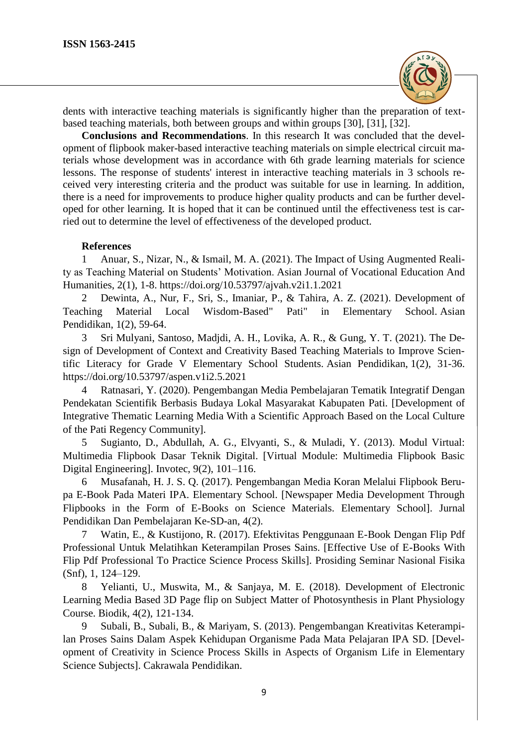

dents with interactive teaching materials is significantly higher than the preparation of textbased teaching materials, both between groups and within groups [30], [31], [32].

**Conclusions and Recommendations**. In this research It was concluded that the development of flipbook maker-based interactive teaching materials on simple electrical circuit materials whose development was in accordance with 6th grade learning materials for science lessons. The response of students' interest in interactive teaching materials in 3 schools received very interesting criteria and the product was suitable for use in learning. In addition, there is a need for improvements to produce higher quality products and can be further developed for other learning. It is hoped that it can be continued until the effectiveness test is carried out to determine the level of effectiveness of the developed product.

## **References**

1 Anuar, S., Nizar, N., & Ismail, M. A. (2021). The Impact of Using Augmented Reality as Teaching Material on Students' Motivation. Asian Journal of Vocational Education And Humanities, 2(1), 1-8.<https://doi.org/10.53797/ajvah.v2i1.1.2021>

2 Dewinta, A., Nur, F., Sri, S., Imaniar, P., & Tahira, A. Z. (2021). Development of Teaching Material Local Wisdom-Based" Pati" in Elementary School. Asian Pendidikan, 1(2), 59-64.

3 Sri Mulyani, Santoso, Madjdi, A. H., Lovika, A. R., & Gung, Y. T. (2021). The Design of Development of Context and Creativity Based Teaching Materials to Improve Scientific Literacy for Grade V Elementary School Students. Asian Pendidikan, 1(2), 31-36. https://doi.org/10.53797/aspen.v1i2.5.2021

4 Ratnasari, Y. (2020). Pengembangan Media Pembelajaran Tematik Integratif Dengan Pendekatan Scientifik Berbasis Budaya Lokal Masyarakat Kabupaten Pati. [Development of Integrative Thematic Learning Media With a Scientific Approach Based on the Local Culture of the Pati Regency Community].

5 Sugianto, D., Abdullah, A. G., Elvyanti, S., & Muladi, Y. (2013). Modul Virtual: Multimedia Flipbook Dasar Teknik Digital. [Virtual Module: Multimedia Flipbook Basic Digital Engineering]. Invotec, 9(2), 101–116.

6 Musafanah, H. J. S. Q. (2017). Pengembangan Media Koran Melalui Flipbook Berupa E-Book Pada Materi IPA. Elementary School. [Newspaper Media Development Through Flipbooks in the Form of E-Books on Science Materials. Elementary School]. Jurnal Pendidikan Dan Pembelajaran Ke-SD-an, 4(2).

7 Watin, E., & Kustijono, R. (2017). Efektivitas Penggunaan E-Book Dengan Flip Pdf Professional Untuk Melatihkan Keterampilan Proses Sains. [Effective Use of E-Books With Flip Pdf Professional To Practice Science Process Skills]. Prosiding Seminar Nasional Fisika (Snf), 1, 124–129.

8 Yelianti, U., Muswita, M., & Sanjaya, M. E. (2018). Development of Electronic Learning Media Based 3D Page flip on Subject Matter of Photosynthesis in Plant Physiology Course. Biodik, 4(2), 121-134.

9 Subali, B., Subali, B., & Mariyam, S. (2013). Pengembangan Kreativitas Keterampilan Proses Sains Dalam Aspek Kehidupan Organisme Pada Mata Pelajaran IPA SD. [Development of Creativity in Science Process Skills in Aspects of Organism Life in Elementary Science Subjects]. Cakrawala Pendidikan.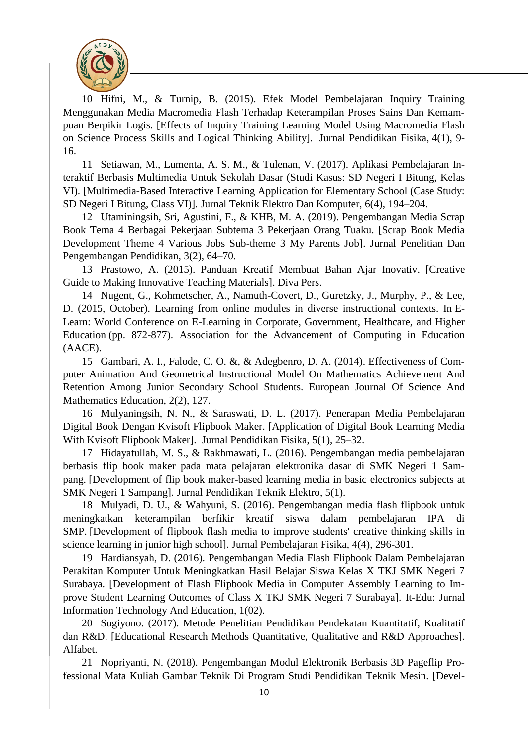

10 Hifni, M., & Turnip, B. (2015). Efek Model Pembelajaran Inquiry Training Menggunakan Media Macromedia Flash Terhadap Keterampilan Proses Sains Dan Kemampuan Berpikir Logis. [Effects of Inquiry Training Learning Model Using Macromedia Flash on Science Process Skills and Logical Thinking Ability]. Jurnal Pendidikan Fisika, 4(1), 9- 16.

11 Setiawan, M., Lumenta, A. S. M., & Tulenan, V. (2017). Aplikasi Pembelajaran Interaktif Berbasis Multimedia Untuk Sekolah Dasar (Studi Kasus: SD Negeri I Bitung, Kelas VI). [Multimedia-Based Interactive Learning Application for Elementary School (Case Study: SD Negeri I Bitung, Class VI)]. Jurnal Teknik Elektro Dan Komputer, 6(4), 194–204.

12 Utaminingsih, Sri, Agustini, F., & KHB, M. A. (2019). Pengembangan Media Scrap Book Tema 4 Berbagai Pekerjaan Subtema 3 Pekerjaan Orang Tuaku. [Scrap Book Media Development Theme 4 Various Jobs Sub-theme 3 My Parents Job]. Jurnal Penelitian Dan Pengembangan Pendidikan, 3(2), 64–70.

13 Prastowo, A. (2015). Panduan Kreatif Membuat Bahan Ajar Inovativ. [Creative Guide to Making Innovative Teaching Materials]. Diva Pers.

14 Nugent, G., Kohmetscher, A., Namuth-Covert, D., Guretzky, J., Murphy, P., & Lee, D. (2015, October). Learning from online modules in diverse instructional contexts. In E-Learn: World Conference on E-Learning in Corporate, Government, Healthcare, and Higher Education (pp. 872-877). Association for the Advancement of Computing in Education (AACE).

15 Gambari, A. I., Falode, C. O. &, & Adegbenro, D. A. (2014). Effectiveness of Computer Animation And Geometrical Instructional Model On Mathematics Achievement And Retention Among Junior Secondary School Students. European Journal Of Science And Mathematics Education, 2(2), 127.

16 Mulyaningsih, N. N., & Saraswati, D. L. (2017). Penerapan Media Pembelajaran Digital Book Dengan Kvisoft Flipbook Maker. [Application of Digital Book Learning Media With Kvisoft Flipbook Maker]. Jurnal Pendidikan Fisika, 5(1), 25–32.

17 Hidayatullah, M. S., & Rakhmawati, L. (2016). Pengembangan media pembelajaran berbasis flip book maker pada mata pelajaran elektronika dasar di SMK Negeri 1 Sampang. [Development of flip book maker-based learning media in basic electronics subjects at SMK Negeri 1 Sampang]. Jurnal Pendidikan Teknik Elektro, 5(1).

18 Mulyadi, D. U., & Wahyuni, S. (2016). Pengembangan media flash flipbook untuk meningkatkan keterampilan berfikir kreatif siswa dalam pembelajaran IPA di SMP. [Development of flipbook flash media to improve students' creative thinking skills in science learning in junior high school]. Jurnal Pembelajaran Fisika, 4(4), 296-301.

19 Hardiansyah, D. (2016). Pengembangan Media Flash Flipbook Dalam Pembelajaran Perakitan Komputer Untuk Meningkatkan Hasil Belajar Siswa Kelas X TKJ SMK Negeri 7 Surabaya. [Development of Flash Flipbook Media in Computer Assembly Learning to Improve Student Learning Outcomes of Class X TKJ SMK Negeri 7 Surabaya]. It-Edu: Jurnal Information Technology And Education, 1(02).

20 Sugiyono. (2017). Metode Penelitian Pendidikan Pendekatan Kuantitatif, Kualitatif dan R&D. [Educational Research Methods Quantitative, Qualitative and R&D Approaches]. Alfabet.

21 Nopriyanti, N. (2018). Pengembangan Modul Elektronik Berbasis 3D Pageflip Professional Mata Kuliah Gambar Teknik Di Program Studi Pendidikan Teknik Mesin. [Devel-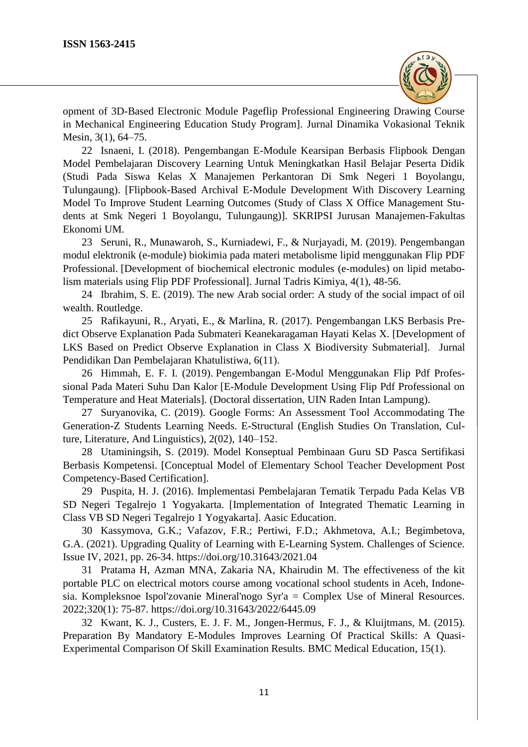

opment of 3D-Based Electronic Module Pageflip Professional Engineering Drawing Course in Mechanical Engineering Education Study Program]. Jurnal Dinamika Vokasional Teknik Mesin, 3(1), 64–75.

22 Isnaeni, I. (2018). Pengembangan E-Module Kearsipan Berbasis Flipbook Dengan Model Pembelajaran Discovery Learning Untuk Meningkatkan Hasil Belajar Peserta Didik (Studi Pada Siswa Kelas X Manajemen Perkantoran Di Smk Negeri 1 Boyolangu, Tulungaung). [Flipbook-Based Archival E-Module Development With Discovery Learning Model To Improve Student Learning Outcomes (Study of Class X Office Management Students at Smk Negeri 1 Boyolangu, Tulungaung)]. SKRIPSI Jurusan Manajemen-Fakultas Ekonomi UM.

23 Seruni, R., Munawaroh, S., Kurniadewi, F., & Nurjayadi, M. (2019). Pengembangan modul elektronik (e-module) biokimia pada materi metabolisme lipid menggunakan Flip PDF Professional. [Development of biochemical electronic modules (e-modules) on lipid metabolism materials using Flip PDF Professional]. Jurnal Tadris Kimiya, 4(1), 48-56.

24 Ibrahim, S. E. (2019). The new Arab social order: A study of the social impact of oil wealth. Routledge.

25 Rafikayuni, R., Aryati, E., & Marlina, R. (2017). Pengembangan LKS Berbasis Predict Observe Explanation Pada Submateri Keanekaragaman Hayati Kelas X. [Development of LKS Based on Predict Observe Explanation in Class X Biodiversity Submaterial]. Jurnal Pendidikan Dan Pembelajaran Khatulistiwa, 6(11).

26 Himmah, E. F. I. (2019). Pengembangan E-Modul Menggunakan Flip Pdf Professional Pada Materi Suhu Dan Kalor [E-Module Development Using Flip Pdf Professional on Temperature and Heat Materials]. (Doctoral dissertation, UIN Raden Intan Lampung).

27 Suryanovika, C. (2019). Google Forms: An Assessment Tool Accommodating The Generation-Z Students Learning Needs. E-Structural (English Studies On Translation, Culture, Literature, And Linguistics), 2(02), 140–152.

28 Utaminingsih, S. (2019). Model Konseptual Pembinaan Guru SD Pasca Sertifikasi Berbasis Kompetensi. [Conceptual Model of Elementary School Teacher Development Post Competency-Based Certification].

29 Puspita, H. J. (2016). Implementasi Pembelajaran Tematik Terpadu Pada Kelas VB SD Negeri Tegalrejo 1 Yogyakarta. [Implementation of Integrated Thematic Learning in Class VB SD Negeri Tegalrejo 1 Yogyakarta]. Aasic Education.

30 Kassymova, G.K.; Vafazov, F.R.; Pertiwi, F.D.; Akhmetova, A.I.; Begimbetova, G.A. (2021). Upgrading Quality of Learning with E-Learning System. Challenges of Science. Issue IV, 2021, pp. 26-34. https://doi.org/10.31643/2021.04

31 Pratama H, Azman MNA, Zakaria NA, Khairudin M. The effectiveness of the kit portable PLC on electrical motors course among vocational school students in Aceh, Indonesia. Kompleksnoe Ispol'zovanie Mineral'nogo Syr'a = Complex Use of Mineral Resources. 2022;320(1): 75-87.<https://doi.org/10.31643/2022/6445.09>

32 Kwant, K. J., Custers, E. J. F. M., Jongen-Hermus, F. J., & Kluijtmans, M. (2015). Preparation By Mandatory E-Modules Improves Learning Of Practical Skills: A Quasi-Experimental Comparison Of Skill Examination Results. BMC Medical Education, 15(1).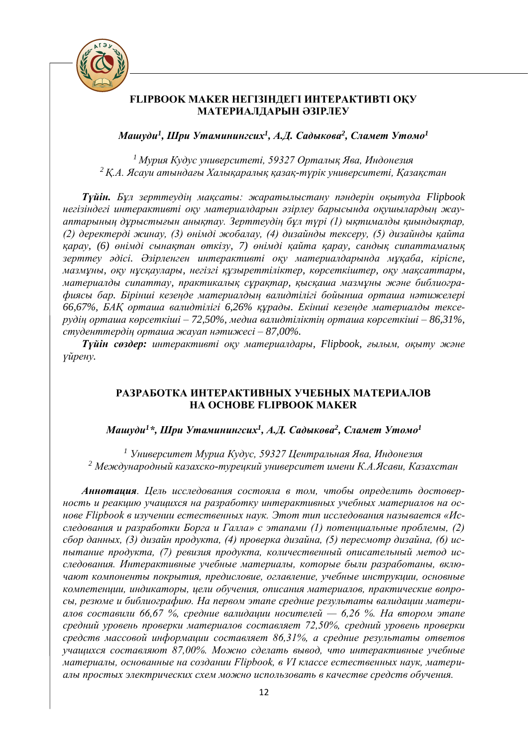

# **FLIPBOOK MAKER НЕГІЗІНДЕГІ ИНТЕРАКТИВТІ ОҚУ МАТЕРИАЛДАРЫН ӘЗІРЛЕУ**

*Машуди<sup>1</sup> , Шри Утаминингсих<sup>1</sup> , А.Д. Садыкова<sup>2</sup> , Сламет Утомо<sup>1</sup>*

*<sup>1</sup>Мурия Кудус университеті, 59327 Орталық Ява, Индонезия <sup>2</sup>Қ.А. Ясауи атындағы Халықаралық қазақ-түрік университеті, Қазақстан*

*Түйін. Бұл зерттеудің мақсаты: жаратылыстану пәндерін оқытуда Flipbook негізіндегі интерактивті оқу материалдарын әзірлеу барысында оқушылардың жауаптарының дұрыстығын анықтау. Зерттеудің бұл түрі (1) ықтималды қиындықтар, (2) деректерді жинау, (3) өнімді жобалау, (4) дизайнды тексеру, (5) дизайнды қайта қарау, (6) өнімді сынақтан өткізу, 7) өнімді қайта қарау, сандық сипаттамалық зерттеу әдісі. Әзірленген интерактивті оқу материалдарында мұқаба, кіріспе, мазмұны, оқу нұсқаулары, негізгі құзыреттіліктер, көрсеткіштер, оқу мақсаттары, материалды сипаттау, практикалық сұрақтар, қысқаша мазмұны және библиографиясы бар. Бірінші кезеңде материалдың валидтілігі бойынша орташа нәтижелері 66,67%, БАҚ орташа валидтілігі 6,26% құрады. Екінші кезеңде материалды тексерудің орташа көрсеткіші – 72,50%, медиа валидтіліктің орташа көрсеткіші – 86,31%, студенттердің орташа жауап нәтижесі – 87,00%.*

*Түйін сөздер: интерактивті оқу материалдары, Flipbook, ғылым, оқыту және үйрену.*

# **РАЗРАБОТКА ИНТЕРАКТИВНЫХ УЧЕБНЫХ МАТЕРИАЛОВ НА ОСНОВЕ FLIPBOOK MAKER**

*Машуди<sup>1</sup>\*, Шри Утаминингсих<sup>1</sup> , А.Д. Садыкова<sup>2</sup> , Сламет Утомо<sup>1</sup>*

*<sup>1</sup> Университет Муриа Кудус, 59327 Центральная Ява, Индонезия <sup>2</sup> Международный казахско-турецкий университет имени К.А.Ясави, Казахстан*

*Аннотация. Цель исследования состояла в том, чтобы определить достоверность и реакцию учащихся на разработку интерактивных учебных материалов на основе Flipbook в изучении естественных наук. Этот тип исследования называется «Исследования и разработки Борга и Галла» с этапами (1) потенциальные проблемы, (2) сбор данных, (3) дизайн продукта, (4) проверка дизайна, (5) пересмотр дизайна, (6) испытание продукта, (7) ревизия продукта, количественный описательный метод исследования. Интерактивные учебные материалы, которые были разработаны, включают компоненты покрытия, предисловие, оглавление, учебные инструкции, основные компетенции, индикаторы, цели обучения, описания материалов, практические вопросы, резюме и библиографию. На первом этапе средние результаты валидации материалов составили 66,67 %, средние валидации носителей — 6,26 %. На втором этапе средний уровень проверки материалов составляет 72,50%, средний уровень проверки средств массовой информации составляет 86,31%, а средние результаты ответов учащихся составляют 87,00%. Можно сделать вывод, что интерактивные учебные материалы, основанные на создании Flipbook, в VI классе естественных наук, материалы простых электрических схем можно использовать в качестве средств обучения.*